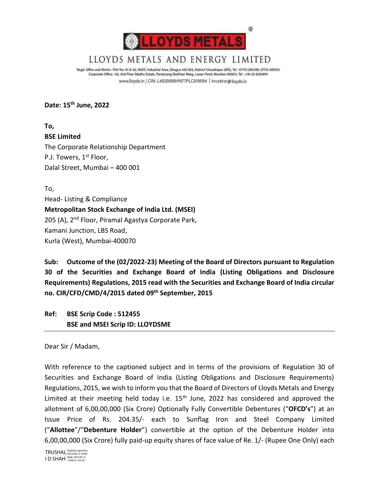

# LLOYDS METALS AND ENERGY LIMITED

Regd. Office and Works : Plot No. A1 & A2, MIDC Industrial Area, Ghugus 442 505, District Chandrapur (MS), Tel : 07172-285398, 07172-285103 Corporate Office : A2, 2nd Floor Madhu Estate, Pandurang Budhkar Marg, Lower Parel, Mumbai-400013, Tel : +91-22-62918111 www.lloyds.in | CIN: L40300MH1977PLC019594 | investor@lloyds.in

**Date: 15th June, 2022**

**To, BSE Limited** The Corporate Relationship Department P.J. Towers, 1<sup>st</sup> Floor, Dalal Street, Mumbai – 400 001

To, Head- Listing & Compliance **Metropolitan Stock Exchange of India Ltd. (MSEI)** 205 (A), 2<sup>nd</sup> Floor, Piramal Agastya Corporate Park, Kamani Junction, LBS Road, Kurla (West), Mumbai-400070

**Sub: Outcome of the (02/2022-23) Meeting of the Board of Directors pursuant to Regulation 30 of the Securities and Exchange Board of India (Listing Obligations and Disclosure Requirements) Regulations, 2015 read with the Securities and Exchange Board of India circular no. CIR/CFD/CMD/4/2015 dated 09th September, 2015**

**Ref: BSE Scrip Code : 512455 BSE and MSEI Scrip ID: LLOYDSME**

Dear Sir / Madam,

With reference to the captioned subject and in terms of the provisions of Regulation 30 of Securities and Exchange Board of India (Listing Obligations and Disclosure Requirements) Regulations, 2015, we wish to inform you that the Board of Directors of Lloyds Metals and Energy Limited at their meeting held today i.e.  $15<sup>th</sup>$  June, 2022 has considered and approved the allotment of 6,00,00,000 (Six Crore) Optionally Fully Convertible Debentures ("**OFCD's**") at an Issue Price of Rs. 204.35/- each to Sunflag Iron and Steel Company Limited ("**Allottee**"/"**Debenture Holder**") convertible at the option of the Debenture Holder into 6,00,00,000 (Six Crore) fully paid-up equity shares of face value of Re. 1/- (Rupee One Only) each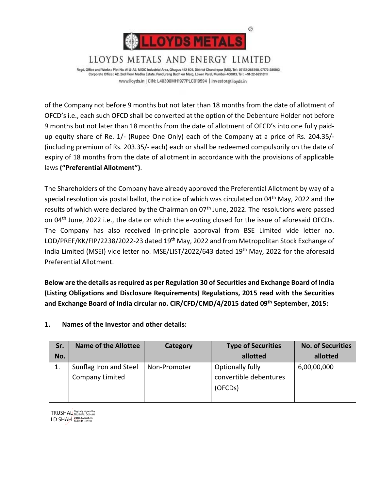

Regd. Office and Works : Plot No. A1 & A2, MIDC Industrial Area, Ghugus 442 505, District Chandrapur (MS), Tel : 07172-285398, 07172-285103 Corporate Office : A2, 2nd Floor Madhu Estate, Pandurang Budhkar Marg, Lower Parel, Mumbai-400013, Tel : +91-22-62918111 www.lloyds.in | CIN: L40300MH1977PLC019594 | investor@lloyds.in

LLOYDS METALS AND ENERGY LIMITED

of the Company not before 9 months but not later than 18 months from the date of allotment of OFCD's i.e., each such OFCD shall be converted at the option of the Debenture Holder not before 9 months but not later than 18 months from the date of allotment of OFCD's into one fully paidup equity share of Re. 1/- (Rupee One Only) each of the Company at a price of Rs. 204.35/- (including premium of Rs. 203.35/- each) each or shall be redeemed compulsorily on the date of expiry of 18 months from the date of allotment in accordance with the provisions of applicable laws **("Preferential Allotment")**.

The Shareholders of the Company have already approved the Preferential Allotment by way of a special resolution via postal ballot, the notice of which was circulated on 04<sup>th</sup> May, 2022 and the results of which were declared by the Chairman on 07<sup>th</sup> June, 2022. The resolutions were passed on 04th June, 2022 i.e., the date on which the e-voting closed for the issue of aforesaid OFCDs. The Company has also received In-principle approval from BSE Limited vide letter no. LOD/PREF/KK/FIP/2238/2022-23 dated 19th May, 2022 and from Metropolitan Stock Exchange of India Limited (MSEI) vide letter no. MSE/LIST/2022/643 dated 19<sup>th</sup> May, 2022 for the aforesaid Preferential Allotment.

**Below are the details as required as per Regulation 30 of Securities and Exchange Board of India (Listing Obligations and Disclosure Requirements) Regulations, 2015 read with the Securities and Exchange Board of India circular no. CIR/CFD/CMD/4/2015 dated 09th September, 2015:**

| Sr. | <b>Name of the Allottee</b>                      | Category     | <b>Type of Securities</b>                             | <b>No. of Securities</b> |
|-----|--------------------------------------------------|--------------|-------------------------------------------------------|--------------------------|
| No. |                                                  |              | allotted                                              | allotted                 |
| 1.  | Sunflag Iron and Steel<br><b>Company Limited</b> | Non-Promoter | Optionally fully<br>convertible debentures<br>(OFCDs) | 6,00,00,000              |

# **1. Names of the Investor and other details:**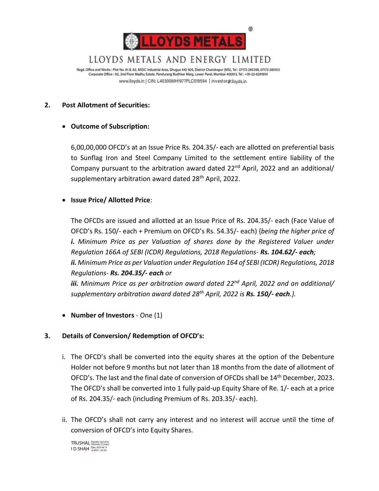

LLOYDS METALS AND ENERGY LIMITED

Regd. Office and Works : Plot No. A1 & A2, MIDC Industrial Area, Ghugus 442 505, District Chandrapur (MS), Tel : 07172-285398, 07172-285103 Corporate Office : A2, 2nd Floor Madhu Estate, Pandurang Budhkar Marg, Lower Parel, Mumbai-400013, Tel : +91-22-62918111 www.lloyds.in | CIN: L40300MH1977PLC019594 | investor@lloyds.in

## **2. Post Allotment of Securities:**

## • **Outcome of Subscription:**

6,00,00,000 OFCD's at an Issue Price Rs. 204.35/- each are allotted on preferential basis to Sunflag Iron and Steel Company Limited to the settlement entire liability of the Company pursuant to the arbitration award dated  $22<sup>nd</sup>$  April, 2022 and an additional/ supplementary arbitration award dated 28<sup>th</sup> April, 2022.

## • **Issue Price/ Allotted Price**:

The OFCDs are issued and allotted at an Issue Price of Rs. 204.35/- each (Face Value of OFCD's Rs. 150/- each + Premium on OFCD's Rs. 54.35/- each) {*being the higher price of i. Minimum Price as per Valuation of shares done by the Registered Valuer under Regulation 166A of SEBI (ICDR) Regulations, 2018 Regulations- Rs. 104.62/- each; ii. Minimum Price as per Valuation under Regulation 164 of SEBI (ICDR) Regulations, 2018 Regulations- Rs. 204.35/- each or* 

*iii. Minimum Price as per arbitration award dated 22nd April, 2022 and an additional/ supplementary arbitration award dated 28th April, 2022 is Rs. 150/- each.}.*

• **Number of Investors** - One (1)

# **3. Details of Conversion/ Redemption of OFCD's:**

- i. The OFCD's shall be converted into the equity shares at the option of the Debenture Holder not before 9 months but not later than 18 months from the date of allotment of OFCD's. The last and the final date of conversion of OFCDs shall be 14th December, 2023. The OFCD's shall be converted into 1 fully paid-up Equity Share of Re. 1/- each at a price of Rs. 204.35/- each (including Premium of Rs. 203.35/- each).
- ii. The OFCD's shall not carry any interest and no interest will accrue until the time of conversion of OFCD's into Equity Shares.

TRUSHAL Digitally signed by I D SHAH Date: 2022.06.15